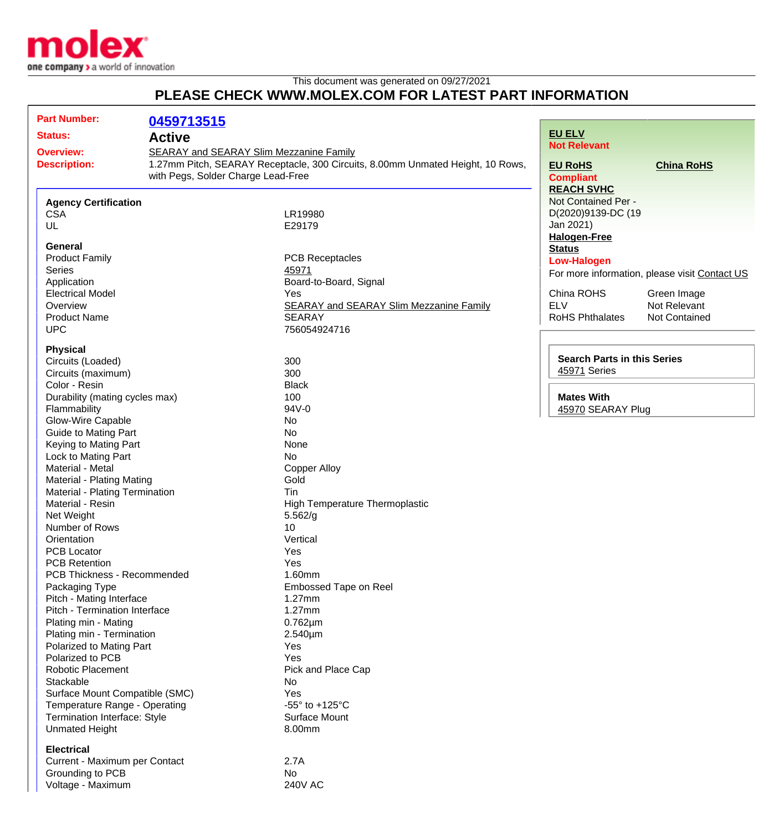

This document was generated on 09/27/2021 **PLEASE CHECK WWW.MOLEX.COM FOR LATEST PART INFORMATION**

## **Part Number: 0459713515 Status: Active Overview:** [SEARAY and SEARAY Slim Mezzanine Family](http://www.molex.com/molex/products/family?key=searay&channel=products&chanName=family&pageTitle=Introduction) **Description:** 1.27mm Pitch, SEARAY Receptacle, 300 Circuits, 8.00mm Unmated Height, 10 Rows, with Pegs, Solder Charge Lead-Free **Agency Certification** CSA LR19980 UL **E29179 General** Product Family **PCB** Receptacles Series **[45971](http://www.molex.com/molex/search/partSearch?query=45971&pQuery=)** Application **Board-to-Board, Signal** Electrical Model **The Contract Contract Contract Contract Contract Contract Contract Contract Contract Contract Contract Contract Contract Contract Contract Contract Contract Contract Contract Contract Contract Contract Co** Overview [SEARAY and SEARAY Slim Mezzanine Family](http://www.molex.com/molex/products/family?key=searay&channel=products&chanName=family&pageTitle=Introduction) Product Name SEARAY UPC 756054924716 **Physical** Circuits (Loaded) 300 Circuits (maximum) 300 Color - Resin Black Durability (mating cycles max) 100 Flammability 94V-0 Glow-Wire Capable No Guide to Mating Part No Keying to Mating Part None Lock to Mating Part No Material - Metal **Copper Alloy** Material - Plating Mating **Gold** Material - Plating Termination<br>
Material - Resin<br>
Hig High Temperature Thermoplastic Net Weight 5.562/g Number of Rows 10 Orientation **Vertical** PCB Locator **New Yes** PCB Retention The Vest Network of the Vest Network of The Vest Network of The Vest Network of The Vest Network of The Vest Network of The Vest Network of The Vest Network of The Vest Network of The Vest Network of The Vest PCB Thickness - Recommended 1.60mm Packaging Type **Embossed Tape on Reel** Pitch - Mating Interface 1.27mm Pitch - Termination Interface 1.27mm Plating min - Mating 0.762µm Plating min - Termination 2.540um Polarized to Mating Part **Provident Contract Contract Contract Contract Contract Contract Contract Contract Contract Contract Contract Contract Contract Contract Contract Contract Contract Contract Contract Contract Contra** Polarized to PCB Yes Robotic Placement **Pick and Place Cap** Stackable No. No. 2012 12:30 No. 2012 12:30 No. 2012 12:30 No. 2012 12:30 No. 2012 12:30 No. 2012 12:30 No. 20 Surface Mount Compatible (SMC) The Matter of the Yes Temperature Range - Operating **Fig. 125°C** Termination Interface: Style Surface Mount Unmated Height 8.00mm **Electrical** Current - Maximum per Contact 2.7A **[EU ELV](http://www.molex.com/molex/common/staticLoader.jsp?fileName=/webcontent/literature/EU_RoHS.html#eurohs) Not Relevant [EU RoHS](http://www.molex.com/molex/common/staticLoader.jsp?fileName=/webcontent/literature/EU_RoHS.html?section=eurohs#eurohs) [China RoHS](http://www.molex.com/molex/common/staticLoader.jsp?fileName=/webcontent/literature/EU_RoHS.html?section=china#china) Compliant [REACH SVHC](http://www.molex.com/molex/common/staticLoader.jsp?fileName=/webcontent/contact/reach.html)** Not Contained Per - D(2020)9139-DC (19 Jan 2021) **[Halogen-Free](http://www.molex.com/molex/common/staticLoader.jsp?fileName=/webcontent/contact/halogen_free.html) [Status](http://www.molex.com/molex/common/staticLoader.jsp?fileName=/webcontent/contact/halogen_free.html) Low-Halogen** For more information, please visit [Contact US](http://www.molex.com/molex/contact/mxcontact.jsp?channel=Contact Us&channelId=-7) China ROHS Green Image ELV Not Relevant RoHS Phthalates Not Contained **Search Parts in this Series** [45971](http://www.molex.com/molex/search/partSearch?query=45971&pQuery=) Series **Mates With** [45970](http://www.molex.com/molex/search/partSearch?pQuery=&sType=s&query=45970) SEARAY Plug

Grounding to PCB No Voltage - Maximum 240V AC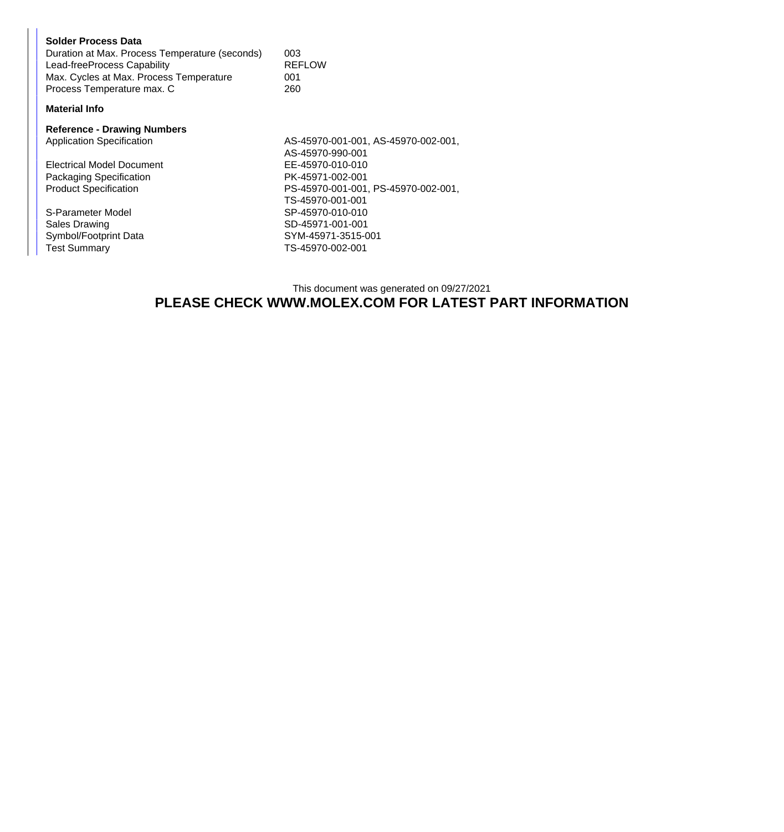| Solder Process Data<br>Duration at Max. Process Temperature (seconds)<br>Lead-freeProcess Capability<br>Max. Cycles at Max. Process Temperature<br>Process Temperature max. C | 003<br><b>REFLOW</b><br>001<br>260          |
|-------------------------------------------------------------------------------------------------------------------------------------------------------------------------------|---------------------------------------------|
| <b>Material Info</b>                                                                                                                                                          |                                             |
| <b>Reference - Drawing Numbers</b><br><b>Application Specification</b>                                                                                                        | AS-45970-001-001, AS-45<br>AS-45970-990-001 |
| Electrical Model Document                                                                                                                                                     | EE-45970-010-010                            |

S-Parameter Model<br>Sales Drawing Symbol/Footprint Data<br>Test Summary

 $5970-002-001,$ Packaging Specification PK-45971-002-001<br>Product Specification PS-45970-001-001, PS-45970-001-001, PS-45970-002-001, TS-45970-001-001 SD-45971-001-001<br>SYM-45971-3515-001 TS-45970-002-001

## This document was generated on 09/27/2021 **PLEASE CHECK WWW.MOLEX.COM FOR LATEST PART INFORMATION**